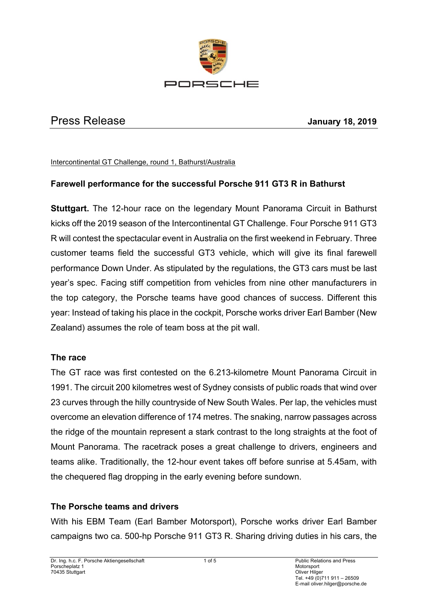

# Press Release **January 18, 2019**

#### Intercontinental GT Challenge, round 1, Bathurst/Australia

## **Farewell performance for the successful Porsche 911 GT3 R in Bathurst**

**Stuttgart.** The 12-hour race on the legendary Mount Panorama Circuit in Bathurst kicks off the 2019 season of the Intercontinental GT Challenge. Four Porsche 911 GT3 R will contest the spectacular event in Australia on the first weekend in February. Three customer teams field the successful GT3 vehicle, which will give its final farewell performance Down Under. As stipulated by the regulations, the GT3 cars must be last year's spec. Facing stiff competition from vehicles from nine other manufacturers in the top category, the Porsche teams have good chances of success. Different this year: Instead of taking his place in the cockpit, Porsche works driver Earl Bamber (New Zealand) assumes the role of team boss at the pit wall.

#### **The race**

The GT race was first contested on the 6.213-kilometre Mount Panorama Circuit in 1991. The circuit 200 kilometres west of Sydney consists of public roads that wind over 23 curves through the hilly countryside of New South Wales. Per lap, the vehicles must overcome an elevation difference of 174 metres. The snaking, narrow passages across the ridge of the mountain represent a stark contrast to the long straights at the foot of Mount Panorama. The racetrack poses a great challenge to drivers, engineers and teams alike. Traditionally, the 12-hour event takes off before sunrise at 5.45am, with the chequered flag dropping in the early evening before sundown.

## **The Porsche teams and drivers**

With his EBM Team (Earl Bamber Motorsport), Porsche works driver Earl Bamber campaigns two ca. 500-hp Porsche 911 GT3 R. Sharing driving duties in his cars, the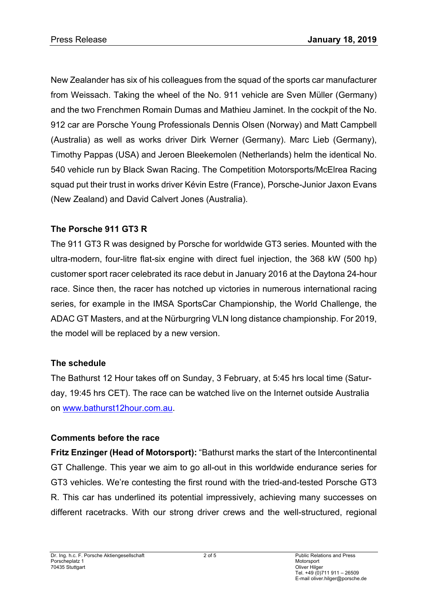New Zealander has six of his colleagues from the squad of the sports car manufacturer from Weissach. Taking the wheel of the No. 911 vehicle are Sven Müller (Germany) and the two Frenchmen Romain Dumas and Mathieu Jaminet. In the cockpit of the No. 912 car are Porsche Young Professionals Dennis Olsen (Norway) and Matt Campbell (Australia) as well as works driver Dirk Werner (Germany). Marc Lieb (Germany), Timothy Pappas (USA) and Jeroen Bleekemolen (Netherlands) helm the identical No. 540 vehicle run by Black Swan Racing. The Competition Motorsports/McElrea Racing squad put their trust in works driver Kévin Estre (France), Porsche-Junior Jaxon Evans (New Zealand) and David Calvert Jones (Australia).

# **The Porsche 911 GT3 R**

The 911 GT3 R was designed by Porsche for worldwide GT3 series. Mounted with the ultra-modern, four-litre flat-six engine with direct fuel injection, the 368 kW (500 hp) customer sport racer celebrated its race debut in January 2016 at the Daytona 24-hour race. Since then, the racer has notched up victories in numerous international racing series, for example in the IMSA SportsCar Championship, the World Challenge, the ADAC GT Masters, and at the Nürburgring VLN long distance championship. For 2019, the model will be replaced by a new version.

## **The schedule**

The Bathurst 12 Hour takes off on Sunday, 3 February, at 5:45 hrs local time (Saturday, 19:45 hrs CET). The race can be watched live on the Internet outside Australia on www.bathurst12hour.com.au.

## **Comments before the race**

**Fritz Enzinger (Head of Motorsport):** "Bathurst marks the start of the Intercontinental GT Challenge. This year we aim to go all-out in this worldwide endurance series for GT3 vehicles. We're contesting the first round with the tried-and-tested Porsche GT3 R. This car has underlined its potential impressively, achieving many successes on different racetracks. With our strong driver crews and the well-structured, regional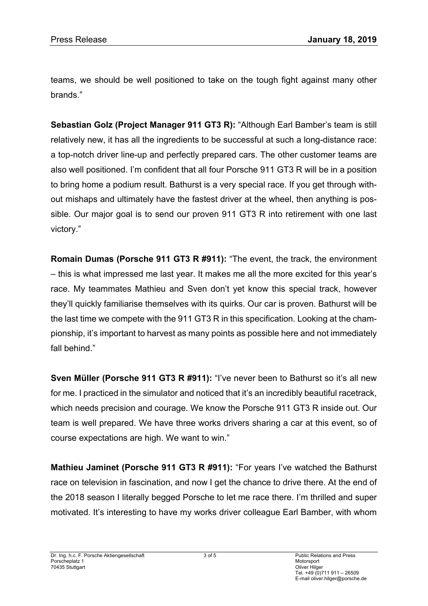teams, we should be well positioned to take on the tough fight against many other brands."

**Sebastian Golz (Project Manager 911 GT3 R):** "Although Earl Bamber's team is still relatively new, it has all the ingredients to be successful at such a long-distance race: a top-notch driver line-up and perfectly prepared cars. The other customer teams are also well positioned. I'm confident that all four Porsche 911 GT3 R will be in a position to bring home a podium result. Bathurst is a very special race. If you get through without mishaps and ultimately have the fastest driver at the wheel, then anything is possible. Our major goal is to send our proven 911 GT3 R into retirement with one last victory."

**Romain Dumas (Porsche 911 GT3 R #911):** "The event, the track, the environment – this is what impressed me last year. It makes me all the more excited for this year's race. My teammates Mathieu and Sven don't yet know this special track, however they'll quickly familiarise themselves with its quirks. Our car is proven. Bathurst will be the last time we compete with the 911 GT3 R in this specification. Looking at the championship, it's important to harvest as many points as possible here and not immediately fall behind."

**Sven Müller (Porsche 911 GT3 R #911):** "I've never been to Bathurst so it's all new for me. I practiced in the simulator and noticed that it's an incredibly beautiful racetrack, which needs precision and courage. We know the Porsche 911 GT3 R inside out. Our team is well prepared. We have three works drivers sharing a car at this event, so of course expectations are high. We want to win."

**Mathieu Jaminet (Porsche 911 GT3 R #911):** "For years I've watched the Bathurst race on television in fascination, and now I get the chance to drive there. At the end of the 2018 season I literally begged Porsche to let me race there. I'm thrilled and super motivated. It's interesting to have my works driver colleague Earl Bamber, with whom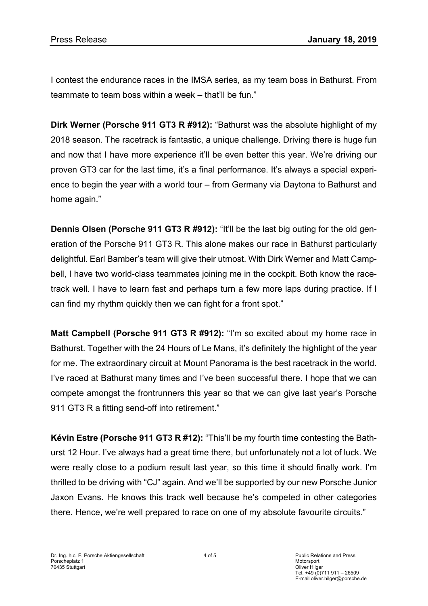I contest the endurance races in the IMSA series, as my team boss in Bathurst. From teammate to team boss within a week – that'll be fun."

**Dirk Werner (Porsche 911 GT3 R #912):** "Bathurst was the absolute highlight of my 2018 season. The racetrack is fantastic, a unique challenge. Driving there is huge fun and now that I have more experience it'll be even better this year. We're driving our proven GT3 car for the last time, it's a final performance. It's always a special experience to begin the year with a world tour – from Germany via Daytona to Bathurst and home again."

**Dennis Olsen (Porsche 911 GT3 R #912):** "It'll be the last big outing for the old generation of the Porsche 911 GT3 R. This alone makes our race in Bathurst particularly delightful. Earl Bamber's team will give their utmost. With Dirk Werner and Matt Campbell, I have two world-class teammates joining me in the cockpit. Both know the racetrack well. I have to learn fast and perhaps turn a few more laps during practice. If I can find my rhythm quickly then we can fight for a front spot."

**Matt Campbell (Porsche 911 GT3 R #912):** "I'm so excited about my home race in Bathurst. Together with the 24 Hours of Le Mans, it's definitely the highlight of the year for me. The extraordinary circuit at Mount Panorama is the best racetrack in the world. I've raced at Bathurst many times and I've been successful there. I hope that we can compete amongst the frontrunners this year so that we can give last year's Porsche 911 GT3 R a fitting send-off into retirement."

**Kévin Estre (Porsche 911 GT3 R #12):** "This'll be my fourth time contesting the Bathurst 12 Hour. I've always had a great time there, but unfortunately not a lot of luck. We were really close to a podium result last year, so this time it should finally work. I'm thrilled to be driving with "CJ" again. And we'll be supported by our new Porsche Junior Jaxon Evans. He knows this track well because he's competed in other categories there. Hence, we're well prepared to race on one of my absolute favourite circuits."